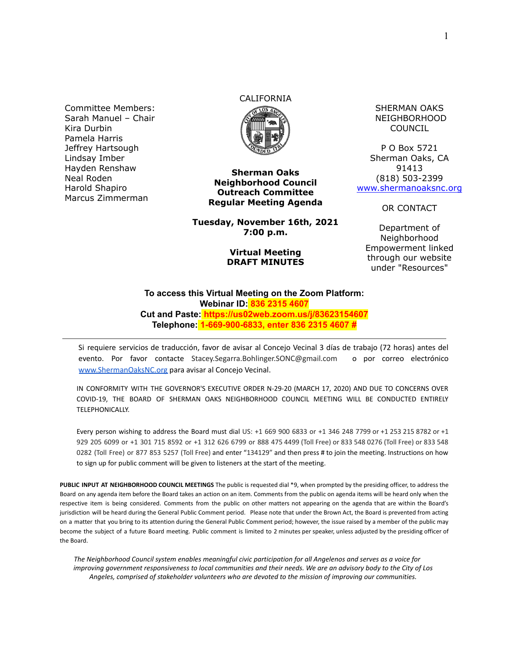Committee Members: Sarah Manuel – Chair Kira Durbin Pamela Harris Jeffrey Hartsough Lindsay Imber Hayden Renshaw Neal Roden Harold Shapiro Marcus Zimmerman

# CALIFORNIA



**Sherman Oaks Neighborhood Council Outreach Committee Regular Meeting Agenda**

**Tuesday, November 16th, 2021 7:00 p.m.**

#### **Virtual Meeting DRAFT MINUTES**

SHERMAN OAKS NEIGHBORHOOD COUNCIL

P O Box 5721 Sherman Oaks, CA 91413 (818) 503-2399 [www.shermanoaksnc.org](http://www.shermanoaksnc.org/)

OR CONTACT

Department of Neighborhood Empowerment linked through our website under "Resources"

#### **To access this Virtual Meeting on the Zoom Platform: Webinar ID: 836 2315 4607 Cut and Paste: https://us02web.zoom.us/j/83623154607 Telephone: 1-669-900-6833, enter 836 2315 4607 #**

Si requiere servicios de traducción, favor de avisar al Concejo Vecinal 3 días de trabajo (72 horas) antes del evento. Por favor contacte Stacey.Segarra.Bohlinger.SONC@gmail.com o por correo electrónico [www.ShermanOaksNC.org](http://www.shermanoaksnc.org) para avisar al Concejo Vecinal.

IN CONFORMITY WITH THE GOVERNOR'S EXECUTIVE ORDER N-29-20 (MARCH 17, 2020) AND DUE TO CONCERNS OVER COVID-19, THE BOARD OF SHERMAN OAKS NEIGHBORHOOD COUNCIL MEETING WILL BE CONDUCTED ENTIRELY TELEPHONICALLY.

Every person wishing to address the Board must dial US: +1 669 900 6833 or +1 346 248 7799 or +1 253 215 8782 or +1 929 205 6099 or +1 301 715 8592 or +1 312 626 6799 or 888 475 4499 (Toll Free) or 833 548 0276 (Toll Free) or 833 548 0282 (Toll Free) or 877 853 5257 (Toll Free) and enter "134129" and then press # to join the meeting. Instructions on how to sign up for public comment will be given to listeners at the start of the meeting.

**PUBLIC INPUT AT NEIGHBORHOOD COUNCIL MEETINGS** The public is requested dial \*9, when prompted by the presiding officer, to address the Board on any agenda item before the Board takes an action on an item. Comments from the public on agenda items will be heard only when the respective item is being considered. Comments from the public on other matters not appearing on the agenda that are within the Board's jurisdiction will be heard during the General Public Comment period. Please note that under the Brown Act, the Board is prevented from acting on a matter that you bring to its attention during the General Public Comment period; however, the issue raised by a member of the public may become the subject of a future Board meeting. Public comment is limited to 2 minutes per speaker, unless adjusted by the presiding officer of the Board.

*The Neighborhood Council system enables meaningful civic participation for all Angelenos and serves as a voice for improving government responsiveness to local communities and their needs. We are an advisory body to the City of Los Angeles, comprised of stakeholder volunteers who are devoted to the mission of improving our communities.*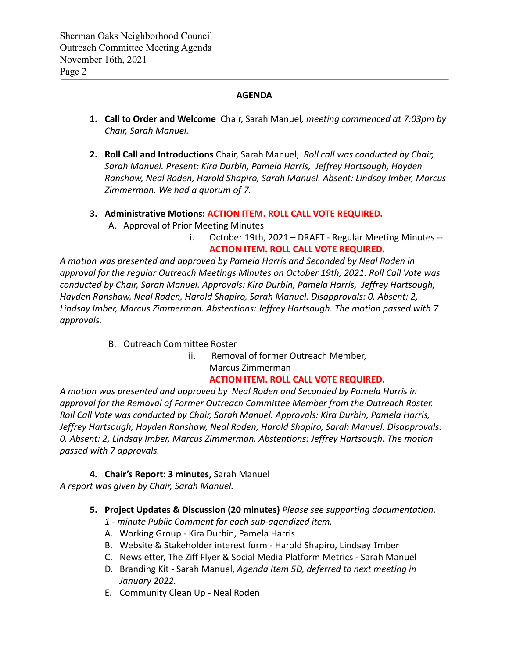### **AGENDA**

- **1. Call to Order and Welcome** Chair, Sarah Manuel*, meeting commenced at 7:03pm by Chair, Sarah Manuel.*
- **2. Roll Call and Introductions** Chair, Sarah Manuel, *Roll call was conducted by Chair, Sarah Manuel. Present: Kira Durbin, Pamela Harris, Jeffrey Hartsough, Hayden Ranshaw, Neal Roden, Harold Shapiro, Sarah Manuel. Absent: Lindsay Imber, Marcus Zimmerman. We had a quorum of 7.*
- **3. Administrative Motions: ACTION ITEM. ROLL CALL VOTE REQUIRED.**
	- A. Approval of Prior Meeting Minutes
		- i. October 19th, 2021 DRAFT Regular Meeting Minutes -- **ACTION ITEM. ROLL CALL VOTE REQUIRED.**

*A motion was presented and approved by Pamela Harris and Seconded by Neal Roden in approval for the regular Outreach Meetings Minutes on October 19th, 2021. Roll Call Vote was conducted by Chair, Sarah Manuel. Approvals: Kira Durbin, Pamela Harris, Jeffrey Hartsough, Hayden Ranshaw, Neal Roden, Harold Shapiro, Sarah Manuel. Disapprovals: 0. Absent: 2, Lindsay Imber, Marcus Zimmerman. Abstentions: Jeffrey Hartsough. The motion passed with 7 approvals.*

- B. Outreach Committee Roster
	- ii. Removal of former Outreach Member, Marcus Zimmerman

### **ACTION ITEM. ROLL CALL VOTE REQUIRED.**

*A motion was presented and approved by Neal Roden and Seconded by Pamela Harris in approval for the Removal of Former Outreach Committee Member from the Outreach Roster. Roll Call Vote was conducted by Chair, Sarah Manuel. Approvals: Kira Durbin, Pamela Harris, Jeffrey Hartsough, Hayden Ranshaw, Neal Roden, Harold Shapiro, Sarah Manuel. Disapprovals: 0. Absent: 2, Lindsay Imber, Marcus Zimmerman. Abstentions: Jeffrey Hartsough. The motion passed with 7 approvals.*

**4. Chair's Report: 3 minutes,** Sarah Manuel

*A report was given by Chair, Sarah Manuel.*

**5. Project Updates & Discussion (20 minutes)** *Please see supporting documentation.*

*1 - minute Public Comment for each sub-agendized item.*

- A. Working Group Kira Durbin, Pamela Harris
- B. Website & Stakeholder interest form Harold Shapiro, Lindsay Imber
- C. Newsletter, The Ziff Flyer & Social Media Platform Metrics Sarah Manuel
- D. Branding Kit Sarah Manuel, *Agenda Item 5D, deferred to next meeting in January 2022.*
- E. Community Clean Up Neal Roden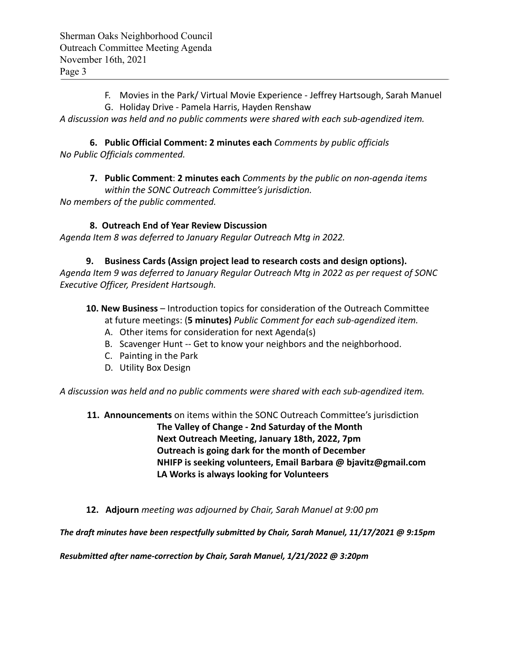- F. Movies in the Park/ Virtual Movie Experience Jeffrey Hartsough, Sarah Manuel
- G. Holiday Drive Pamela Harris, Hayden Renshaw

*A discussion was held and no public comments were shared with each sub-agendized item.*

**6. Public Official Comment: 2 minutes each** *Comments by public officials No Public Officials commented.*

**7. Public Comment**: **2 minutes each** *Comments by the public on non-agenda items within the SONC Outreach Committee's jurisdiction. No members of the public commented.*

## **8. Outreach End of Year Review Discussion**

*Agenda Item 8 was deferred to January Regular Outreach Mtg in 2022.*

# **9. Business Cards (Assign project lead to research costs and design options).**

*Agenda Item 9 was deferred to January Regular Outreach Mtg in 2022 as per request of SONC Executive Officer, President Hartsough.*

- **10. New Business** Introduction topics for consideration of the Outreach Committee at future meetings: (**5 minutes)** *Public Comment for each sub-agendized item.*
	- A. Other items for consideration for next Agenda(s)
	- B. Scavenger Hunt -- Get to know your neighbors and the neighborhood.
	- C. Painting in the Park
	- D. Utility Box Design

*A discussion was held and no public comments were shared with each sub-agendized item.*

**11. Announcements** on items within the SONC Outreach Committee's jurisdiction

**The Valley of Change - 2nd Saturday of the Month Next Outreach Meeting, January 18th, 2022, 7pm Outreach is going dark for the month of December NHIFP is seeking volunteers, Email Barbara @ bjavitz@gmail.com LA Works is always looking for Volunteers**

**12. Adjourn** *meeting was adjourned by Chair, Sarah Manuel at 9:00 pm*

*The draft minutes have been respectfully submitted by Chair, Sarah Manuel, 11/17/2021 @ 9:15pm*

*Resubmitted after name-correction by Chair, Sarah Manuel, 1/21/2022 @ 3:20pm*